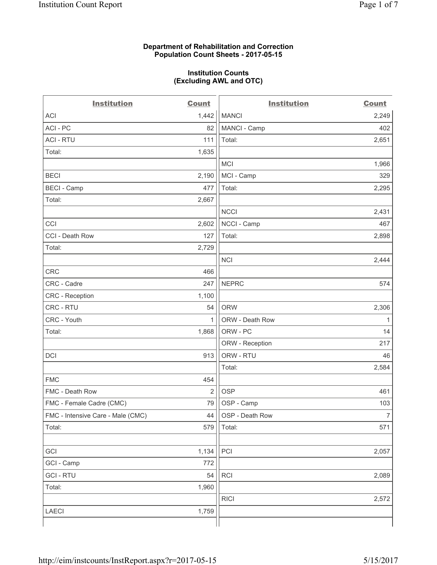### **Department of Rehabilitation and Correction Population Count Sheets - 2017-05-15**

#### **Institution Counts (Excluding AWL and OTC)**

 $-$ 

| <b>Institution</b>                | <b>Count</b> | <b>Institution</b> | <b>Count</b>   |
|-----------------------------------|--------------|--------------------|----------------|
| ACI                               | 1,442        | <b>MANCI</b>       | 2,249          |
| ACI - PC                          | 82           | MANCI - Camp       | 402            |
| <b>ACI - RTU</b>                  | 111          | Total:             | 2,651          |
| Total:                            | 1,635        |                    |                |
|                                   |              | MCI                | 1,966          |
| <b>BECI</b>                       | 2,190        | MCI - Camp         | 329            |
| <b>BECI</b> - Camp                | 477          | Total:             | 2,295          |
| Total:                            | 2,667        |                    |                |
|                                   |              | <b>NCCI</b>        | 2,431          |
| CCI                               | 2,602        | NCCI - Camp        | 467            |
| CCI - Death Row                   | 127          | Total:             | 2,898          |
| Total:                            | 2,729        |                    |                |
|                                   |              | <b>NCI</b>         | 2,444          |
| <b>CRC</b>                        | 466          |                    |                |
| CRC - Cadre                       | 247          | <b>NEPRC</b>       | 574            |
| CRC - Reception                   | 1,100        |                    |                |
| CRC - RTU                         | 54           | <b>ORW</b>         | 2,306          |
| CRC - Youth                       | $\mathbf{1}$ | ORW - Death Row    | 1              |
| Total:                            | 1,868        | ORW - PC           | 14             |
|                                   |              | ORW - Reception    | 217            |
| DCI                               | 913          | ORW - RTU          | 46             |
|                                   |              | Total:             | 2,584          |
| <b>FMC</b>                        | 454          |                    |                |
| FMC - Death Row                   | 2            | <b>OSP</b>         | 461            |
| FMC - Female Cadre (CMC)          | 79           | OSP - Camp         | 103            |
| FMC - Intensive Care - Male (CMC) | 44           | OSP - Death Row    | $\overline{7}$ |
| Total:                            | 579          | Total:             | 571            |
|                                   |              |                    |                |
| GCI                               | 1,134        | PCI                | 2,057          |
| GCI - Camp                        | 772          |                    |                |
| <b>GCI - RTU</b>                  | 54           | RCI                | 2,089          |
| Total:                            | 1,960        |                    |                |
|                                   |              | <b>RICI</b>        | 2,572          |
| LAECI                             | 1,759        |                    |                |
|                                   |              |                    |                |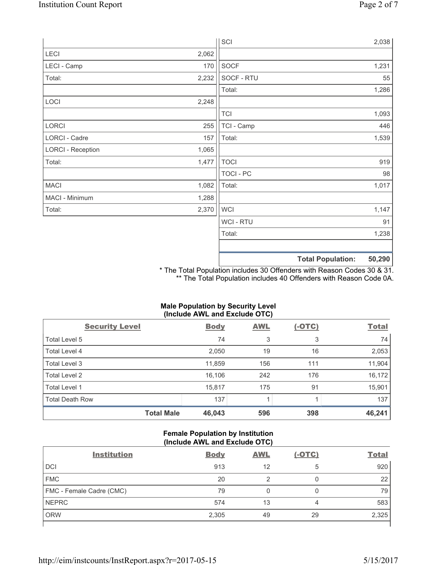|                          |       | SCI              |                          | 2,038  |
|--------------------------|-------|------------------|--------------------------|--------|
| LECI                     | 2,062 |                  |                          |        |
| LECI - Camp              | 170   | SOCF             |                          | 1,231  |
| Total:                   | 2,232 | SOCF - RTU       |                          | 55     |
|                          |       | Total:           |                          | 1,286  |
| LOCI                     | 2,248 |                  |                          |        |
|                          |       | <b>TCI</b>       |                          | 1,093  |
| LORCI                    | 255   | TCI - Camp       |                          | 446    |
| LORCI - Cadre            | 157   | Total:           |                          | 1,539  |
| <b>LORCI - Reception</b> | 1,065 |                  |                          |        |
| Total:                   | 1,477 | <b>TOCI</b>      |                          | 919    |
|                          |       | <b>TOCI - PC</b> |                          | 98     |
| <b>MACI</b>              | 1,082 | Total:           |                          | 1,017  |
| MACI - Minimum           | 1,288 |                  |                          |        |
| Total:                   | 2,370 | <b>WCI</b>       |                          | 1,147  |
|                          |       | WCI - RTU        |                          | 91     |
|                          |       | Total:           |                          | 1,238  |
|                          |       |                  |                          |        |
|                          |       |                  | <b>Total Population:</b> | 50,290 |

\* The Total Population includes 30 Offenders with Reason Codes 30 & 31. \*\* The Total Population includes 40 Offenders with Reason Code 0A.

## **Male Population by Security Level (Include AWL and Exclude OTC)**

| $\mathbf{v}$<br><b>Security Level</b> | <b>Body</b> | <b>AWL</b> | $\mathbf{r}$<br>$(-OTC)$ | <b>Total</b> |
|---------------------------------------|-------------|------------|--------------------------|--------------|
| Total Level 5                         | 74          | 3          | 3                        | 74           |
| <b>Total Level 4</b>                  | 2,050       | 19         | 16                       | 2,053        |
| Total Level 3                         | 11,859      | 156        | 111                      | 11,904       |
| Total Level 2                         | 16,106      | 242        | 176                      | 16, 172      |
| <b>Total Level 1</b>                  | 15,817      | 175        | 91                       | 15,901       |
| <b>Total Death Row</b>                | 137         |            |                          | 137          |
| <b>Total Male</b>                     | 46,043      | 596        | 398                      | 46,241       |

## **Female Population by Institution (Include AWL and Exclude OTC)**

| <b>Institution</b>       | <b>Body</b> | <b>AWL</b> | <u>(-OTC)</u> | <b>Total</b> |
|--------------------------|-------------|------------|---------------|--------------|
| <b>DCI</b>               | 913         | 12         | 5             | 920          |
| <b>FMC</b>               | 20          |            |               | 22           |
| FMC - Female Cadre (CMC) | 79          |            |               | 79           |
| <b>NEPRC</b>             | 574         | 13         | 4             | 583          |
| <b>ORW</b>               | 2,305       | 49         | 29            | 2,325        |
|                          |             |            |               |              |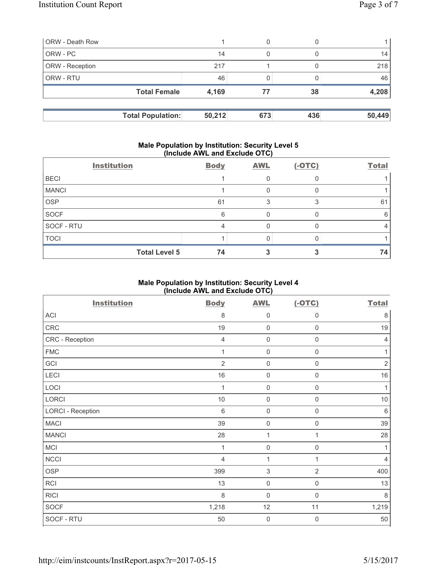| <b>ORW</b> - Death Row   |        | 0   |     |        |
|--------------------------|--------|-----|-----|--------|
| ORW - PC                 | 14     | 0   |     | 14     |
| <b>ORW</b> - Reception   | 217    |     |     | 218    |
| <b>ORW - RTU</b>         | 46     |     |     | 46     |
| <b>Total Female</b>      | 4,169  | 77  | 38  | 4,208  |
|                          |        |     |     |        |
| <b>Total Population:</b> | 50,212 | 673 | 436 | 50,449 |

### **Male Population by Institution: Security Level 5 (Include AWL and Exclude OTC)**

|              | <b>Institution</b>   | <b>Body</b> | <b>AWL</b> | $(-OTC)$ | <b>Total</b> |
|--------------|----------------------|-------------|------------|----------|--------------|
| <b>BECI</b>  |                      |             |            |          |              |
| <b>MANCI</b> |                      |             |            |          |              |
| <b>OSP</b>   |                      | 61          |            |          | 61           |
| SOCF         |                      | 6           |            |          | 6            |
| SOCF - RTU   |                      |             |            |          |              |
| <b>TOCI</b>  |                      |             |            |          |              |
|              | <b>Total Level 5</b> | 74          |            |          | 74           |

# **Male Population by Institution: Security Level 4 (Include AWL and Exclude OTC)**

| <b>Institution</b>       | <b>Body</b>    | <b>AWL</b>                | $(-OTC)$            | <b>Total</b> |
|--------------------------|----------------|---------------------------|---------------------|--------------|
| <b>ACI</b>               | 8              | 0                         | $\mathsf{0}$        | $\,8\,$      |
| CRC                      | 19             | 0                         | $\mathsf{0}$        | 19           |
| CRC - Reception          | $\overline{4}$ | 0                         | $\mathbf 0$         | 4            |
| <b>FMC</b>               | 1              | 0                         | $\mathbf 0$         | 1            |
| GCI                      | $\overline{2}$ | $\mathsf{O}\xspace$       | $\mathsf{O}\xspace$ | $\sqrt{2}$   |
| LECI                     | 16             | $\mathsf{O}\xspace$       | $\mathbf 0$         | 16           |
| LOCI                     | 1              | $\mathbf 0$               | $\mathsf{O}\xspace$ | 1            |
| LORCI                    | $10$           | $\mathbf 0$               | $\boldsymbol{0}$    | $10$         |
| <b>LORCI - Reception</b> | $\,6$          | $\mathsf{O}\xspace$       | $\mathsf{O}\xspace$ | $\,6\,$      |
| <b>MACI</b>              | 39             | $\mathbf 0$               | $\boldsymbol{0}$    | 39           |
| <b>MANCI</b>             | 28             | $\mathbf{1}$              | 1                   | 28           |
| MCI                      | $\mathbf{1}$   | $\mathbf 0$               | $\boldsymbol{0}$    | 1            |
| <b>NCCI</b>              | $\overline{4}$ | $\mathbf{1}$              | 1                   | 4            |
| <b>OSP</b>               | 399            | $\ensuremath{\mathsf{3}}$ | $\overline{2}$      | 400          |
| RCI                      | 13             | $\mathsf{O}\xspace$       | $\mathsf 0$         | 13           |
| <b>RICI</b>              | 8              | 0                         | 0                   | $\,8\,$      |
| <b>SOCF</b>              | 1,218          | 12                        | 11                  | 1,219        |
| SOCF - RTU               | 50             | $\mathbf 0$               | $\mathbf 0$         | 50           |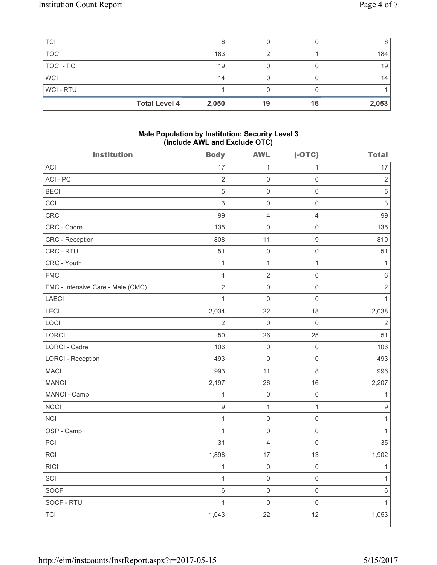| <b>TCI</b>  |                      | ี     |    |    | 6     |
|-------------|----------------------|-------|----|----|-------|
| <b>TOCI</b> |                      | 183   |    |    | 184   |
| TOCI - PC   |                      | 19    |    |    | 19    |
| <b>WCI</b>  |                      | 14    |    |    | 14    |
| WCI-RTU     |                      |       |    |    |       |
|             | <b>Total Level 4</b> | 2,050 | 19 | 16 | 2,053 |

## **Male Population by Institution: Security Level 3 (Include AWL and Exclude OTC)**

| <b>Institution</b>                | <b>Body</b>    | <b>AWL</b>          | $(-OTC)$            | <b>Total</b>              |
|-----------------------------------|----------------|---------------------|---------------------|---------------------------|
| <b>ACI</b>                        | 17             | 1                   | 1                   | 17                        |
| ACI-PC                            | $\overline{2}$ | $\mathbf 0$         | $\mathsf 0$         | $\sqrt{2}$                |
| <b>BECI</b>                       | $\sqrt{5}$     | $\mathsf{O}\xspace$ | $\mathsf 0$         | $\sqrt{5}$                |
| CCI                               | $\sqrt{3}$     | $\mathsf{O}\xspace$ | $\mathsf 0$         | $\ensuremath{\mathsf{3}}$ |
| <b>CRC</b>                        | 99             | $\overline{4}$      | $\overline{4}$      | 99                        |
| CRC - Cadre                       | 135            | $\mathsf{O}\xspace$ | $\mathsf 0$         | 135                       |
| CRC - Reception                   | 808            | 11                  | $\boldsymbol{9}$    | 810                       |
| CRC - RTU                         | 51             | $\mathsf{O}\xspace$ | $\mathsf 0$         | 51                        |
| CRC - Youth                       | $\mathbf{1}$   | $\mathbf 1$         | $\mathbf{1}$        | 1                         |
| <b>FMC</b>                        | $\overline{4}$ | $\sqrt{2}$          | $\mathsf 0$         | $\,6$                     |
| FMC - Intensive Care - Male (CMC) | $\overline{2}$ | $\mathsf 0$         | $\mathsf 0$         | $\mathbf 2$               |
| <b>LAECI</b>                      | $\mathbf{1}$   | $\mathsf{O}\xspace$ | $\mathsf 0$         | $\mathbf{1}$              |
| LECI                              | 2,034          | 22                  | 18                  | 2,038                     |
| LOCI                              | $\overline{2}$ | $\mathbf 0$         | $\mathbf 0$         | $\overline{2}$            |
| LORCI                             | 50             | 26                  | 25                  | 51                        |
| <b>LORCI - Cadre</b>              | 106            | $\mathsf{O}\xspace$ | $\mathsf 0$         | 106                       |
| <b>LORCI - Reception</b>          | 493            | $\mathbf 0$         | $\mathsf 0$         | 493                       |
| <b>MACI</b>                       | 993            | 11                  | $\,8\,$             | 996                       |
| <b>MANCI</b>                      | 2,197          | 26                  | 16                  | 2,207                     |
| MANCI - Camp                      | $\mathbf{1}$   | $\mathsf{O}\xspace$ | $\mathsf 0$         | $\mathbf{1}$              |
| <b>NCCI</b>                       | $\mathsf g$    | $\mathbf{1}$        | $\mathbf{1}$        | $\hbox{9}$                |
| <b>NCI</b>                        | $\mathbf{1}$   | $\mathsf{O}\xspace$ | $\mathsf{O}\xspace$ | 1                         |
| OSP - Camp                        | $\mathbf{1}$   | $\mathbf 0$         | $\mathsf 0$         | 1                         |
| PCI                               | 31             | $\overline{4}$      | $\mathbf 0$         | 35                        |
| <b>RCI</b>                        | 1,898          | 17                  | 13                  | 1,902                     |
| RICI                              | $\mathbf{1}$   | $\mathsf{O}\xspace$ | $\mathsf{O}\xspace$ | $\overline{1}$            |
| SCI                               | $\mathbf{1}$   | $\mathsf 0$         | $\mathsf 0$         | 1                         |
| SOCF                              | 6              | $\mathsf{O}\xspace$ | $\mathsf 0$         | 6                         |
| SOCF - RTU                        | $\mathbf{1}$   | $\mathsf{O}\xspace$ | $\mathsf{O}\xspace$ | 1                         |
| <b>TCI</b>                        | 1,043          | 22                  | 12                  | 1,053                     |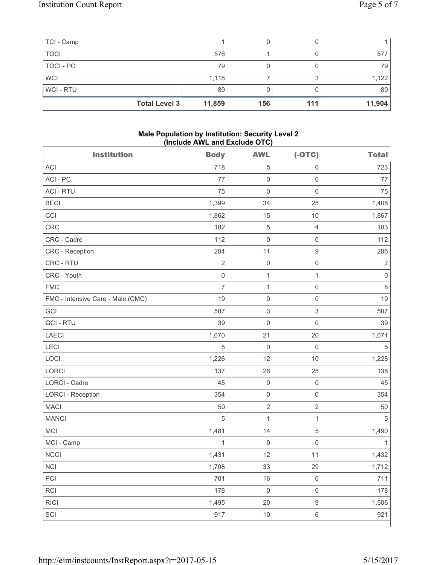| TCI - Camp  |                      |        |     |     |        |
|-------------|----------------------|--------|-----|-----|--------|
| <b>TOCI</b> |                      | 576    |     |     | 577    |
| TOCI - PC   |                      | 79     |     |     | 79     |
| <b>WCI</b>  |                      | 1,118  |     |     | 1,122  |
| WCI-RTU     |                      | 89     |     |     | 89     |
|             | <b>Total Level 3</b> | 11,859 | 156 | 111 | 11,904 |

## **Male Population by Institution: Security Level 2 (Include AWL and Exclude OTC)**

| <b>Institution</b>                | <b>Body</b>    | <b>AWL</b>          | $(-OTC)$            | <b>Total</b>        |
|-----------------------------------|----------------|---------------------|---------------------|---------------------|
| <b>ACI</b>                        | 718            | 5                   | $\mathbf 0$         | 723                 |
| ACI-PC                            | 77             | $\mathbf 0$         | $\mathbf 0$         | 77                  |
| <b>ACI - RTU</b>                  | 75             | $\mathbf 0$         | $\mathsf 0$         | 75                  |
| <b>BECI</b>                       | 1,399          | 34                  | 25                  | 1,408               |
| CCI                               | 1,862          | 15                  | $10$                | 1,867               |
| <b>CRC</b>                        | 182            | $\sqrt{5}$          | $\overline{4}$      | 183                 |
| CRC - Cadre                       | 112            | $\mathsf{O}\xspace$ | $\mathsf{O}\xspace$ | 112                 |
| CRC - Reception                   | 204            | 11                  | $\boldsymbol{9}$    | 206                 |
| CRC - RTU                         | $\sqrt{2}$     | $\mathsf{O}\xspace$ | $\mathsf 0$         | $\sqrt{2}$          |
| CRC - Youth                       | $\mathsf 0$    | $\mathbf 1$         | $\mathbf{1}$        | $\mathsf{O}\xspace$ |
| <b>FMC</b>                        | $\overline{7}$ | $\mathbf{1}$        | $\mathsf 0$         | 8                   |
| FMC - Intensive Care - Male (CMC) | 19             | $\mathsf{O}\xspace$ | $\mathsf{O}\xspace$ | 19                  |
| GCI                               | 587            | $\mathsf 3$         | $\mathsf 3$         | 587                 |
| <b>GCI-RTU</b>                    | 39             | $\mathsf{O}\xspace$ | $\mathbf 0$         | 39                  |
| <b>LAECI</b>                      | 1,070          | 21                  | 20                  | 1,071               |
| LECI                              | 5              | $\mathsf{O}\xspace$ | $\mathbf 0$         | $\sqrt{5}$          |
| LOCI                              | 1,226          | 12                  | $10$                | 1,228               |
| <b>LORCI</b>                      | 137            | 26                  | 25                  | 138                 |
| LORCI - Cadre                     | 45             | $\mathsf{O}\xspace$ | $\mathsf 0$         | 45                  |
| <b>LORCI - Reception</b>          | 354            | $\mathsf{O}\xspace$ | $\mathsf 0$         | 354                 |
| <b>MACI</b>                       | 50             | $\overline{2}$      | $\overline{2}$      | 50                  |
| <b>MANCI</b>                      | 5              | $\mathbf 1$         | 1                   | 5                   |
| MCI                               | 1,481          | 14                  | $\sqrt{5}$          | 1,490               |
| MCI - Camp                        | 1              | $\mathbf 0$         | $\mathbf 0$         | 1                   |
| <b>NCCI</b>                       | 1,431          | 12                  | 11                  | 1,432               |
| $\sf NCI$                         | 1,708          | 33                  | 29                  | 1,712               |
| PCI                               | 701            | 16                  | $\,6\,$             | 711                 |
| RCI                               | 178            | $\mathsf{O}\xspace$ | $\mathsf{O}\xspace$ | 178                 |
| <b>RICI</b>                       | 1,495          | 20                  | $\boldsymbol{9}$    | 1,506               |
| SCI                               | 917            | $10$                | $\,6\,$             | 921                 |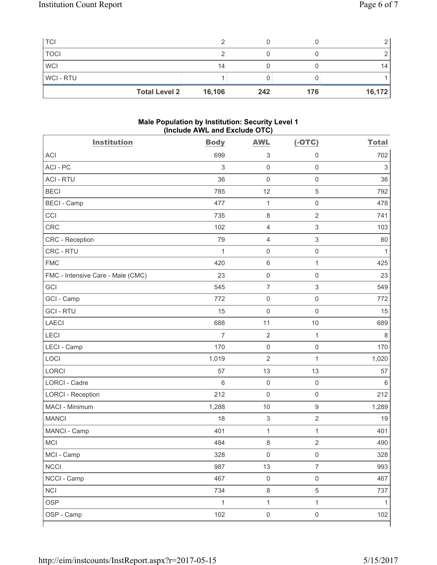| <b>Total Level 2</b> | 16,106 | 242 | 176 | 16,172 |
|----------------------|--------|-----|-----|--------|
| <b>WCI-RTU</b>       |        |     |     |        |
| <b>WCI</b>           | 14     |     |     | 14     |
| <b>TOCI</b>          |        |     |     |        |
| <b>TCI</b>           |        |     |     |        |

### **Male Population by Institution: Security Level 1 (Include AWL and Exclude OTC)**

| <b>Institution</b>                | <b>Body</b>    | <b>AWL</b>                | $(-OTC)$                  | <b>Total</b> |
|-----------------------------------|----------------|---------------------------|---------------------------|--------------|
| <b>ACI</b>                        | 699            | $\sqrt{3}$                | $\mathbf 0$               | 702          |
| ACI - PC                          | 3              | $\mathbf 0$               | $\mathsf 0$               | $\sqrt{3}$   |
| <b>ACI - RTU</b>                  | 36             | $\mathsf 0$               | $\mathsf 0$               | 36           |
| <b>BECI</b>                       | 785            | 12                        | $\sqrt{5}$                | 792          |
| <b>BECI - Camp</b>                | 477            | $\mathbf{1}$              | $\mathbf 0$               | 478          |
| CCI                               | 735            | 8                         | $\overline{2}$            | 741          |
| CRC                               | 102            | $\overline{4}$            | $\ensuremath{\mathsf{3}}$ | 103          |
| CRC - Reception                   | 79             | $\overline{4}$            | $\ensuremath{\mathsf{3}}$ | 80           |
| CRC - RTU                         | $\mathbf{1}$   | $\mathsf{O}\xspace$       | $\mathsf 0$               | 1            |
| <b>FMC</b>                        | 420            | $\,6\,$                   | $\mathbf{1}$              | 425          |
| FMC - Intensive Care - Male (CMC) | 23             | $\mathsf{O}\xspace$       | $\mathsf 0$               | 23           |
| GCI                               | 545            | $\boldsymbol{7}$          | $\ensuremath{\mathsf{3}}$ | 549          |
| GCI - Camp                        | 772            | $\mathsf{O}\xspace$       | $\mathbf 0$               | 772          |
| <b>GCI-RTU</b>                    | 15             | $\mathbf 0$               | $\mathbf 0$               | 15           |
| <b>LAECI</b>                      | 688            | 11                        | 10                        | 689          |
| <b>LECI</b>                       | $\overline{7}$ | $\sqrt{2}$                | $\mathbf{1}$              | 8            |
| LECI - Camp                       | 170            | $\mathsf 0$               | $\mathsf{O}\xspace$       | 170          |
| LOCI                              | 1,019          | $\overline{2}$            | $\mathbf{1}$              | 1,020        |
| <b>LORCI</b>                      | 57             | 13                        | 13                        | 57           |
| <b>LORCI - Cadre</b>              | 6              | $\mathbf 0$               | $\mathsf{O}\xspace$       | $6\,$        |
| <b>LORCI - Reception</b>          | 212            | $\mathsf{O}\xspace$       | $\mathsf 0$               | 212          |
| MACI - Minimum                    | 1,288          | 10                        | $\mathsf g$               | 1,289        |
| <b>MANCI</b>                      | 18             | $\ensuremath{\mathsf{3}}$ | $\sqrt{2}$                | 19           |
| MANCI - Camp                      | 401            | $\mathbf 1$               | 1                         | 401          |
| MCI                               | 484            | $\,8\,$                   | $\sqrt{2}$                | 490          |
| MCI - Camp                        | 328            | $\mathsf 0$               | $\mathsf{O}\xspace$       | 328          |
| <b>NCCI</b>                       | 987            | 13                        | $\overline{7}$            | 993          |
| NCCI - Camp                       | 467            | $\mathsf{O}\xspace$       | $\mathsf{O}\xspace$       | 467          |
| <b>NCI</b>                        | 734            | $\,8\,$                   | $\sqrt{5}$                | 737          |
| <b>OSP</b>                        | $\mathbf{1}$   | $\mathbf{1}$              | $\mathbf 1$               | $\mathbf{1}$ |
| OSP - Camp                        | 102            | $\mathsf{O}\xspace$       | $\mathsf{O}\xspace$       | 102          |